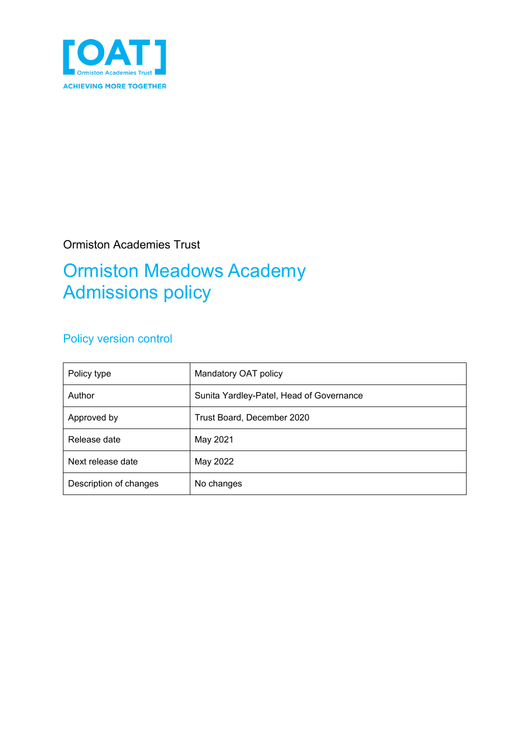

## Ormiston Academies Trust

# Ormiston Meadows Academy Admissions policy

## Policy version control

| Policy type            | Mandatory OAT policy                     |
|------------------------|------------------------------------------|
| Author                 | Sunita Yardley-Patel, Head of Governance |
| Approved by            | Trust Board, December 2020               |
| Release date           | May 2021                                 |
| Next release date      | May 2022                                 |
| Description of changes | No changes                               |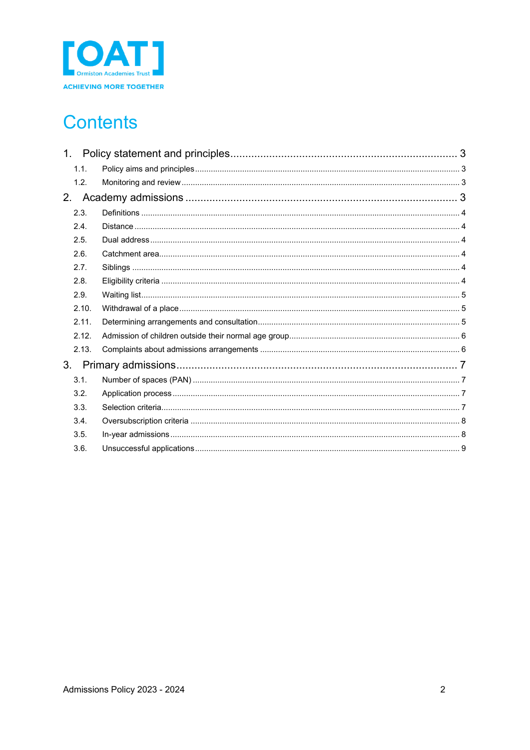

# **Contents**

|                | 1.1.  |  |  |  |
|----------------|-------|--|--|--|
|                | 1.2.  |  |  |  |
| 2.             |       |  |  |  |
|                | 2.3.  |  |  |  |
|                | 2.4.  |  |  |  |
|                | 2.5.  |  |  |  |
|                | 2.6.  |  |  |  |
|                | 2.7.  |  |  |  |
|                | 2.8.  |  |  |  |
|                | 2.9.  |  |  |  |
|                | 2.10. |  |  |  |
|                | 2.11. |  |  |  |
|                | 2.12. |  |  |  |
|                | 2.13. |  |  |  |
| 3 <sub>1</sub> |       |  |  |  |
|                | 3.1.  |  |  |  |
|                | 3.2.  |  |  |  |
|                | 3.3.  |  |  |  |
|                | 3.4.  |  |  |  |
|                | 3.5.  |  |  |  |
|                | 3.6.  |  |  |  |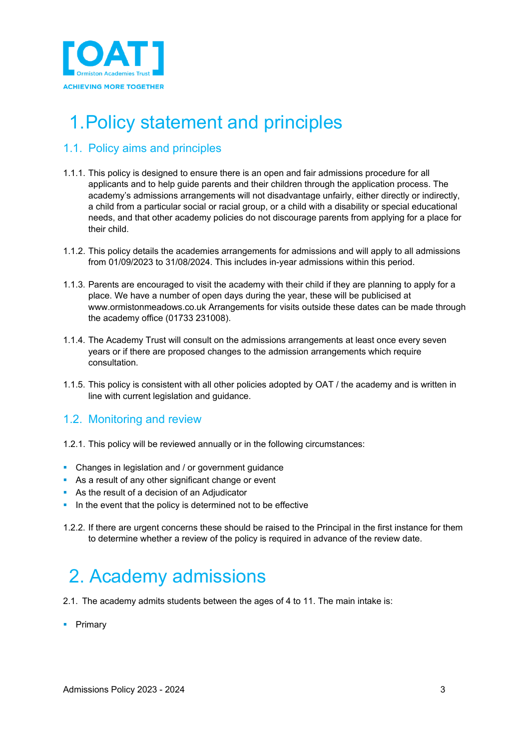

# <span id="page-2-0"></span>1.Policy statement and principles

### <span id="page-2-1"></span>1.1. Policy aims and principles

- 1.1.1. This policy is designed to ensure there is an open and fair admissions procedure for all applicants and to help guide parents and their children through the application process. The academy's admissions arrangements will not disadvantage unfairly, either directly or indirectly, a child from a particular social or racial group, or a child with a disability or special educational needs, and that other academy policies do not discourage parents from applying for a place for their child.
- 1.1.2. This policy details the academies arrangements for admissions and will apply to all admissions from 01/09/2023 to 31/08/2024. This includes in-year admissions within this period.
- 1.1.3. Parents are encouraged to visit the academy with their child if they are planning to apply for a place. We have a number of open days during the year, these will be publicised at www.ormistonmeadows.co.uk Arrangements for visits outside these dates can be made through the academy office (01733 231008).
- 1.1.4. The Academy Trust will consult on the admissions arrangements at least once every seven years or if there are proposed changes to the admission arrangements which require consultation.
- 1.1.5. This policy is consistent with all other policies adopted by OAT / the academy and is written in line with current legislation and guidance.

### <span id="page-2-2"></span>1.2. Monitoring and review

- 1.2.1. This policy will be reviewed annually or in the following circumstances:
- **Changes in legislation and / or government guidance**
- As a result of any other significant change or event
- As the result of a decision of an Adjudicator
- In the event that the policy is determined not to be effective
- 1.2.2. If there are urgent concerns these should be raised to the Principal in the first instance for them to determine whether a review of the policy is required in advance of the review date.

# <span id="page-2-3"></span>2. Academy admissions

- 2.1. The academy admits students between the ages of 4 to 11. The main intake is:
- **Primary**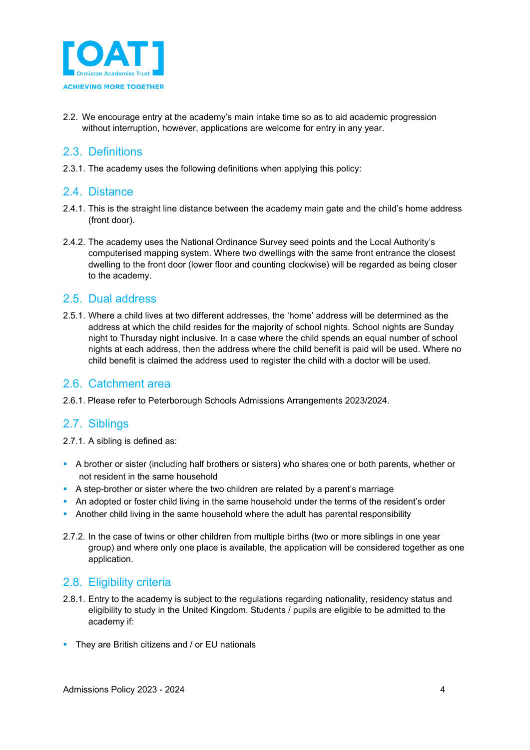

2.2. We encourage entry at the academy's main intake time so as to aid academic progression without interruption, however, applications are welcome for entry in any year.

#### <span id="page-3-0"></span>2.3. Definitions

2.3.1. The academy uses the following definitions when applying this policy:

#### <span id="page-3-1"></span>2.4. Distance

- 2.4.1. This is the straight line distance between the academy main gate and the child's home address (front door).
- 2.4.2. The academy uses the National Ordinance Survey seed points and the Local Authority's computerised mapping system. Where two dwellings with the same front entrance the closest dwelling to the front door (lower floor and counting clockwise) will be regarded as being closer to the academy.

#### <span id="page-3-2"></span>2.5. Dual address

2.5.1. Where a child lives at two different addresses, the 'home' address will be determined as the address at which the child resides for the majority of school nights. School nights are Sunday night to Thursday night inclusive. In a case where the child spends an equal number of school nights at each address, then the address where the child benefit is paid will be used. Where no child benefit is claimed the address used to register the child with a doctor will be used.

#### <span id="page-3-3"></span>2.6. Catchment area

2.6.1. Please refer to Peterborough Schools Admissions Arrangements 2023/2024.

#### <span id="page-3-4"></span>2.7. Siblings

2.7.1. A sibling is defined as:

- A brother or sister (including half brothers or sisters) who shares one or both parents, whether or not resident in the same household
- A step-brother or sister where the two children are related by a parent's marriage
- An adopted or foster child living in the same household under the terms of the resident's order
- Another child living in the same household where the adult has parental responsibility
- 2.7.2. In the case of twins or other children from multiple births (two or more siblings in one year group) and where only one place is available, the application will be considered together as one application.

#### <span id="page-3-5"></span>2.8. Eligibility criteria

- 2.8.1. Entry to the academy is subject to the regulations regarding nationality, residency status and eligibility to study in the United Kingdom. Students / pupils are eligible to be admitted to the academy if:
- **They are British citizens and / or EU nationals**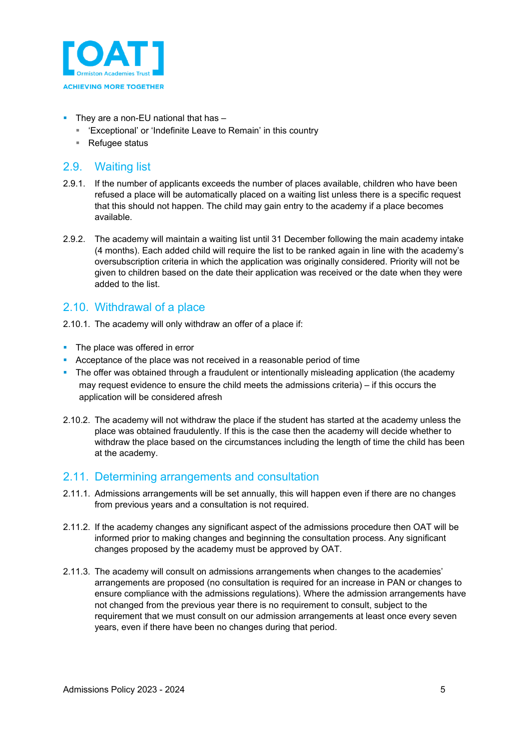

- $\blacksquare$  They are a non-EU national that has  $-$ 
	- 'Exceptional' or 'Indefinite Leave to Remain' in this country
	- Refugee status

### <span id="page-4-0"></span>2.9. Waiting list

- 2.9.1. If the number of applicants exceeds the number of places available, children who have been refused a place will be automatically placed on a waiting list unless there is a specific request that this should not happen. The child may gain entry to the academy if a place becomes available.
- 2.9.2. The academy will maintain a waiting list until 31 December following the main academy intake (4 months). Each added child will require the list to be ranked again in line with the academy's oversubscription criteria in which the application was originally considered. Priority will not be given to children based on the date their application was received or the date when they were added to the list.

### <span id="page-4-1"></span>2.10. Withdrawal of a place

- 2.10.1. The academy will only withdraw an offer of a place if:
- The place was offered in error
- Acceptance of the place was not received in a reasonable period of time
- The offer was obtained through a fraudulent or intentionally misleading application (the academy may request evidence to ensure the child meets the admissions criteria) – if this occurs the application will be considered afresh
- 2.10.2. The academy will not withdraw the place if the student has started at the academy unless the place was obtained fraudulently. If this is the case then the academy will decide whether to withdraw the place based on the circumstances including the length of time the child has been at the academy.

#### <span id="page-4-2"></span>2.11. Determining arrangements and consultation

- 2.11.1. Admissions arrangements will be set annually, this will happen even if there are no changes from previous years and a consultation is not required.
- 2.11.2. If the academy changes any significant aspect of the admissions procedure then OAT will be informed prior to making changes and beginning the consultation process. Any significant changes proposed by the academy must be approved by OAT.
- 2.11.3. The academy will consult on admissions arrangements when changes to the academies' arrangements are proposed (no consultation is required for an increase in PAN or changes to ensure compliance with the admissions regulations). Where the admission arrangements have not changed from the previous year there is no requirement to consult, subject to the requirement that we must consult on our admission arrangements at least once every seven years, even if there have been no changes during that period.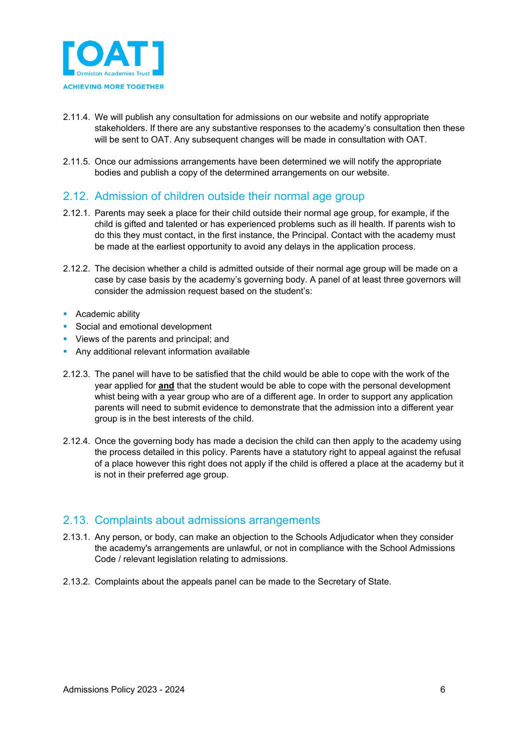

- 2.11.4. We will publish any consultation for admissions on our website and notify appropriate stakeholders. If there are any substantive responses to the academy's consultation then these will be sent to OAT. Any subsequent changes will be made in consultation with OAT.
- 2.11.5. Once our admissions arrangements have been determined we will notify the appropriate bodies and publish a copy of the determined arrangements on our website.

#### <span id="page-5-0"></span>2.12. Admission of children outside their normal age group

- 2.12.1. Parents may seek a place for their child outside their normal age group, for example, if the child is gifted and talented or has experienced problems such as ill health. If parents wish to do this they must contact, in the first instance, the Principal. Contact with the academy must be made at the earliest opportunity to avoid any delays in the application process.
- 2.12.2. The decision whether a child is admitted outside of their normal age group will be made on a case by case basis by the academy's governing body. A panel of at least three governors will consider the admission request based on the student's:
- **Academic ability**
- Social and emotional development
- **Views of the parents and principal; and**
- **Any additional relevant information available**
- 2.12.3. The panel will have to be satisfied that the child would be able to cope with the work of the year applied for **and** that the student would be able to cope with the personal development whist being with a year group who are of a different age. In order to support any application parents will need to submit evidence to demonstrate that the admission into a different year group is in the best interests of the child.
- 2.12.4. Once the governing body has made a decision the child can then apply to the academy using the process detailed in this policy. Parents have a statutory right to appeal against the refusal of a place however this right does not apply if the child is offered a place at the academy but it is not in their preferred age group.

#### <span id="page-5-1"></span>2.13. Complaints about admissions arrangements

- 2.13.1. Any person, or body, can make an objection to the Schools Adjudicator when they consider the academy's arrangements are unlawful, or not in compliance with the School Admissions Code / relevant legislation relating to admissions.
- 2.13.2. Complaints about the appeals panel can be made to the Secretary of State.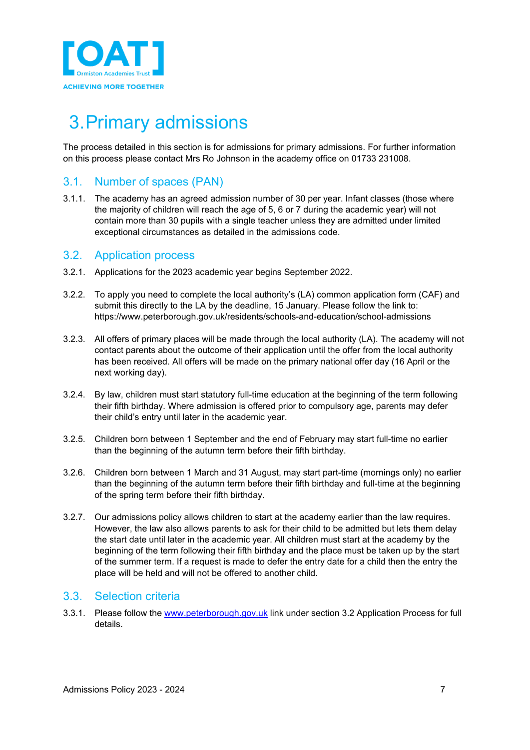

# <span id="page-6-0"></span>3.Primary admissions

The process detailed in this section is for admissions for primary admissions. For further information on this process please contact Mrs Ro Johnson in the academy office on 01733 231008.

### <span id="page-6-1"></span>3.1. Number of spaces (PAN)

3.1.1. The academy has an agreed admission number of 30 per year. Infant classes (those where the majority of children will reach the age of 5, 6 or 7 during the academic year) will not contain more than 30 pupils with a single teacher unless they are admitted under limited exceptional circumstances as detailed in the admissions code.

#### <span id="page-6-2"></span>3.2. Application process

- 3.2.1. Applications for the 2023 academic year begins September 2022.
- 3.2.2. To apply you need to complete the local authority's (LA) common application form (CAF) and submit this directly to the LA by the deadline, 15 January. Please follow the link to: https://www.peterborough.gov.uk/residents/schools-and-education/school-admissions
- 3.2.3. All offers of primary places will be made through the local authority (LA). The academy will not contact parents about the outcome of their application until the offer from the local authority has been received. All offers will be made on the primary national offer day (16 April or the next working day).
- 3.2.4. By law, children must start statutory full-time education at the beginning of the term following their fifth birthday. Where admission is offered prior to compulsory age, parents may defer their child's entry until later in the academic year.
- 3.2.5. Children born between 1 September and the end of February may start full-time no earlier than the beginning of the autumn term before their fifth birthday.
- 3.2.6. Children born between 1 March and 31 August, may start part-time (mornings only) no earlier than the beginning of the autumn term before their fifth birthday and full-time at the beginning of the spring term before their fifth birthday.
- 3.2.7. Our admissions policy allows children to start at the academy earlier than the law requires. However, the law also allows parents to ask for their child to be admitted but lets them delay the start date until later in the academic year. All children must start at the academy by the beginning of the term following their fifth birthday and the place must be taken up by the start of the summer term. If a request is made to defer the entry date for a child then the entry the place will be held and will not be offered to another child.

#### <span id="page-6-3"></span>3.3. Selection criteria

3.3.1. Please follow the [www.peterborough.gov.uk](http://www.peterborough.gov.uk/) link under section 3.2 Application Process for full details.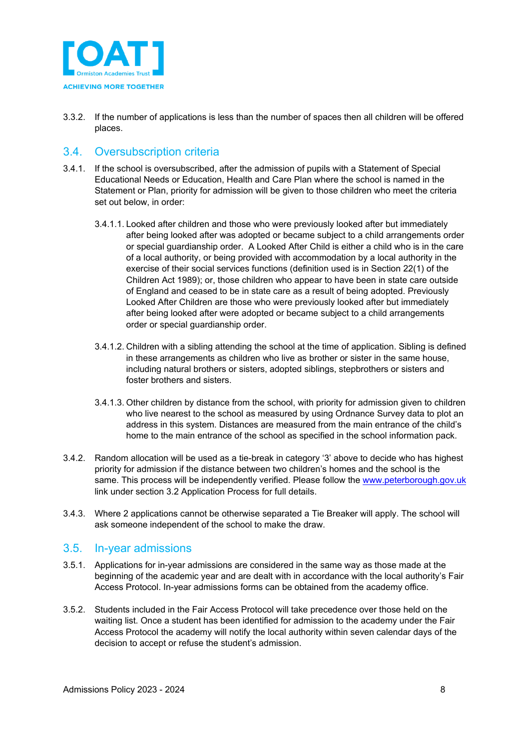

3.3.2. If the number of applications is less than the number of spaces then all children will be offered places.

### <span id="page-7-0"></span>3.4. Oversubscription criteria

- 3.4.1. If the school is oversubscribed, after the admission of pupils with a Statement of Special Educational Needs or Education, Health and Care Plan where the school is named in the Statement or Plan, priority for admission will be given to those children who meet the criteria set out below, in order:
	- 3.4.1.1. Looked after children and those who were previously looked after but immediately after being looked after was adopted or became subject to a child arrangements order or special guardianship order. A Looked After Child is either a child who is in the care of a local authority, or being provided with accommodation by a local authority in the exercise of their social services functions (definition used is in Section 22(1) of the Children Act 1989); or, those children who appear to have been in state care outside of England and ceased to be in state care as a result of being adopted. Previously Looked After Children are those who were previously looked after but immediately after being looked after were adopted or became subject to a child arrangements order or special guardianship order.
	- 3.4.1.2. Children with a sibling attending the school at the time of application. Sibling is defined in these arrangements as children who live as brother or sister in the same house, including natural brothers or sisters, adopted siblings, stepbrothers or sisters and foster brothers and sisters.
	- 3.4.1.3. Other children by distance from the school, with priority for admission given to children who live nearest to the school as measured by using Ordnance Survey data to plot an address in this system. Distances are measured from the main entrance of the child's home to the main entrance of the school as specified in the school information pack.
- 3.4.2. Random allocation will be used as a tie-break in category '3' above to decide who has highest priority for admission if the distance between two children's homes and the school is the same. This process will be independently verified. Please follow the [www.peterborough.gov.uk](http://www.peterborough.gov.uk/) link under section 3.2 Application Process for full details.
- 3.4.3. Where 2 applications cannot be otherwise separated a Tie Breaker will apply. The school will ask someone independent of the school to make the draw.

#### <span id="page-7-1"></span>3.5. In-year admissions

- 3.5.1. Applications for in-year admissions are considered in the same way as those made at the beginning of the academic year and are dealt with in accordance with the local authority's Fair Access Protocol. In-year admissions forms can be obtained from the academy office.
- 3.5.2. Students included in the Fair Access Protocol will take precedence over those held on the waiting list. Once a student has been identified for admission to the academy under the Fair Access Protocol the academy will notify the local authority within seven calendar days of the decision to accept or refuse the student's admission.